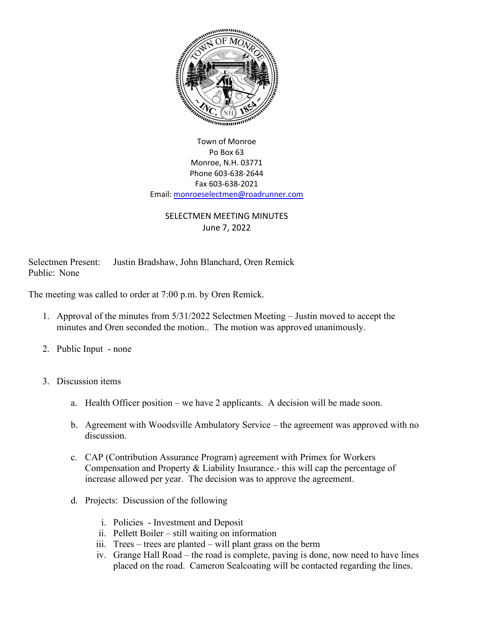

## Town of Monroe Po Box 63 Monroe, N.H. 03771 Phone 603-638-2644 Fax 603-638-2021 Email[: monroeselectmen@roadrunner.com](mailto:monroeselectmen@roadrunner.com)

## SELECTMEN MEETING MINUTES June 7, 2022

Selectmen Present: Justin Bradshaw, John Blanchard, Oren Remick Public: None

The meeting was called to order at 7:00 p.m. by Oren Remick.

- 1. Approval of the minutes from 5/31/2022 Selectmen Meeting Justin moved to accept the minutes and Oren seconded the motion.. The motion was approved unanimously.
- 2. Public Input none
- 3. Discussion items
	- a. Health Officer position we have 2 applicants. A decision will be made soon.
	- b. Agreement with Woodsville Ambulatory Service the agreement was approved with no discussion.
	- c. CAP (Contribution Assurance Program) agreement with Primex for Workers Compensation and Property & Liability Insurance.- this will cap the percentage of increase allowed per year. The decision was to approve the agreement.
	- d. Projects: Discussion of the following
		- i. Policies Investment and Deposit
		- ii. Pellett Boiler still waiting on information
		- iii. Trees trees are planted will plant grass on the berm
		- iv. Grange Hall Road the road is complete, paving is done, now need to have lines placed on the road. Cameron Sealcoating will be contacted regarding the lines.